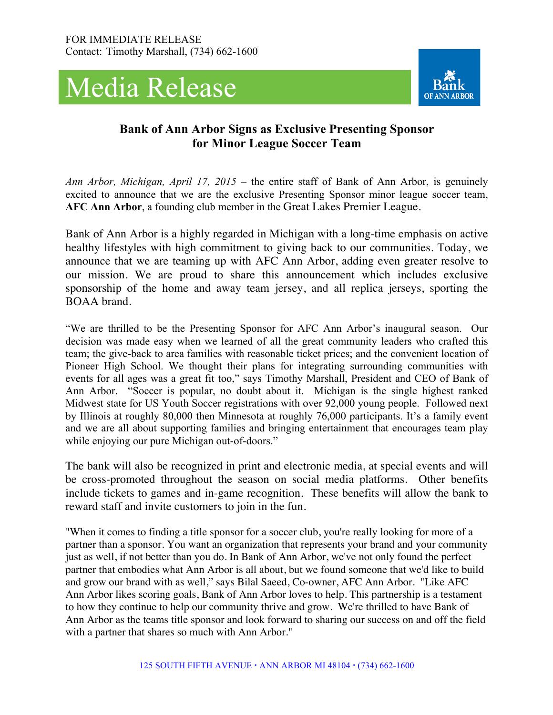



## **Bank of Ann Arbor Signs as Exclusive Presenting Sponsor for Minor League Soccer Team**

*Ann Arbor, Michigan, April 17, 2015* – the entire staff of Bank of Ann Arbor, is genuinely excited to announce that we are the exclusive Presenting Sponsor minor league soccer team, **AFC Ann Arbor**, a founding club member in the Great Lakes Premier League.

Bank of Ann Arbor is a highly regarded in Michigan with a long-time emphasis on active healthy lifestyles with high commitment to giving back to our communities. Today, we announce that we are teaming up with AFC Ann Arbor, adding even greater resolve to our mission. We are proud to share this announcement which includes exclusive sponsorship of the home and away team jersey, and all replica jerseys, sporting the BOAA brand.

"We are thrilled to be the Presenting Sponsor for AFC Ann Arbor's inaugural season. Our decision was made easy when we learned of all the great community leaders who crafted this team; the give-back to area families with reasonable ticket prices; and the convenient location of Pioneer High School. We thought their plans for integrating surrounding communities with events for all ages was a great fit too," says Timothy Marshall, President and CEO of Bank of Ann Arbor. "Soccer is popular, no doubt about it. Michigan is the single highest ranked Midwest state for US Youth Soccer registrations with over 92,000 young people. Followed next by Illinois at roughly 80,000 then Minnesota at roughly 76,000 participants. It's a family event and we are all about supporting families and bringing entertainment that encourages team play while enjoying our pure Michigan out-of-doors."

The bank will also be recognized in print and electronic media, at special events and will be cross-promoted throughout the season on social media platforms. Other benefits include tickets to games and in-game recognition. These benefits will allow the bank to reward staff and invite customers to join in the fun.

"When it comes to finding a title sponsor for a soccer club, you're really looking for more of a partner than a sponsor. You want an organization that represents your brand and your community just as well, if not better than you do. In Bank of Ann Arbor, we've not only found the perfect partner that embodies what Ann Arbor is all about, but we found someone that we'd like to build and grow our brand with as well," says Bilal Saeed, Co-owner, AFC Ann Arbor. "Like AFC Ann Arbor likes scoring goals, Bank of Ann Arbor loves to help. This partnership is a testament to how they continue to help our community thrive and grow. We're thrilled to have Bank of Ann Arbor as the teams title sponsor and look forward to sharing our success on and off the field with a partner that shares so much with Ann Arbor."